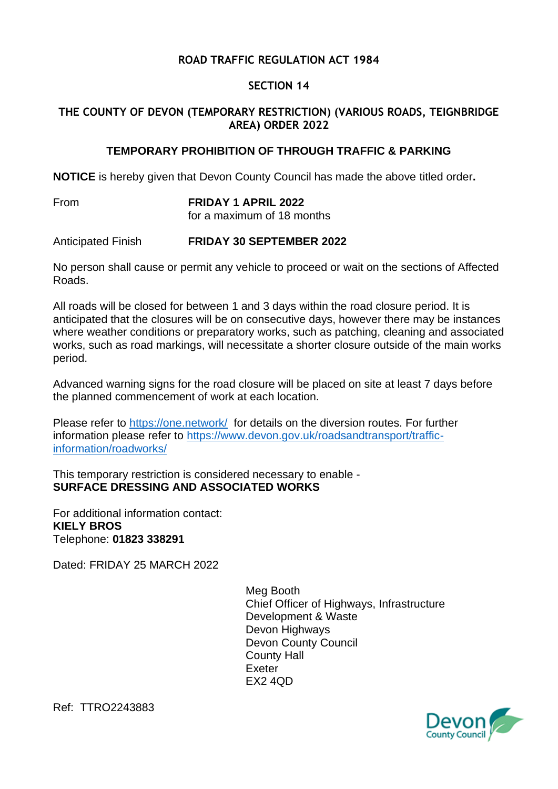## **ROAD TRAFFIC REGULATION ACT 1984**

## **SECTION 14**

## **THE COUNTY OF DEVON (TEMPORARY RESTRICTION) (VARIOUS ROADS, TEIGNBRIDGE AREA) ORDER 2022**

## **TEMPORARY PROHIBITION OF THROUGH TRAFFIC & PARKING**

**NOTICE** is hereby given that Devon County Council has made the above titled order**.**

From **FRIDAY 1 APRIL 2022** for a maximum of 18 months

Anticipated Finish **FRIDAY 30 SEPTEMBER 2022**

No person shall cause or permit any vehicle to proceed or wait on the sections of Affected Roads.

All roads will be closed for between 1 and 3 days within the road closure period. It is anticipated that the closures will be on consecutive days, however there may be instances where weather conditions or preparatory works, such as patching, cleaning and associated works, such as road markings, will necessitate a shorter closure outside of the main works period.

Advanced warning signs for the road closure will be placed on site at least 7 days before the planned commencement of work at each location.

Please refer to [https://one.network/](https://eur02.safelinks.protection.outlook.com/?url=https%3A%2F%2Fone.network%2F&data=04%7C01%7CJade.Ash%40devon.gov.uk%7Cb221f75ac7b34d12866208d9cf9cdc55%7C8da13783cb68443fbb4b997f77fd5bfb%7C0%7C0%7C637769095219454339%7CUnknown%7CTWFpbGZsb3d8eyJWIjoiMC4wLjAwMDAiLCJQIjoiV2luMzIiLCJBTiI6Ik1haWwiLCJXVCI6Mn0%3D%7C3000&sdata=7%2Fnh1Z3cSu1nriOmUuhe%2F8D%2BFgG1D6cdrJoNOKwbV0w%3D&reserved=0) for details on the diversion routes. For further information please refer to [https://www.devon.gov.uk/roadsandtransport/traffic](https://eur02.safelinks.protection.outlook.com/?url=https%3A%2F%2Fwww.devon.gov.uk%2Froadsandtransport%2Ftraffic-information%2Froadworks%2F&data=04%7C01%7CJade.Ash%40devon.gov.uk%7Cb221f75ac7b34d12866208d9cf9cdc55%7C8da13783cb68443fbb4b997f77fd5bfb%7C0%7C0%7C637769095219454339%7CUnknown%7CTWFpbGZsb3d8eyJWIjoiMC4wLjAwMDAiLCJQIjoiV2luMzIiLCJBTiI6Ik1haWwiLCJXVCI6Mn0%3D%7C3000&sdata=QQhPN0bOcpLU0%2FLmiyBzt%2BignOd7xt1g2784OF2fYLk%3D&reserved=0)[information/roadworks/](https://eur02.safelinks.protection.outlook.com/?url=https%3A%2F%2Fwww.devon.gov.uk%2Froadsandtransport%2Ftraffic-information%2Froadworks%2F&data=04%7C01%7CJade.Ash%40devon.gov.uk%7Cb221f75ac7b34d12866208d9cf9cdc55%7C8da13783cb68443fbb4b997f77fd5bfb%7C0%7C0%7C637769095219454339%7CUnknown%7CTWFpbGZsb3d8eyJWIjoiMC4wLjAwMDAiLCJQIjoiV2luMzIiLCJBTiI6Ik1haWwiLCJXVCI6Mn0%3D%7C3000&sdata=QQhPN0bOcpLU0%2FLmiyBzt%2BignOd7xt1g2784OF2fYLk%3D&reserved=0)

This temporary restriction is considered necessary to enable - **SURFACE DRESSING AND ASSOCIATED WORKS**

For additional information contact: **KIELY BROS** Telephone: **01823 338291**

Dated: FRIDAY 25 MARCH 2022

Meg Booth Chief Officer of Highways, Infrastructure Development & Waste Devon Highways Devon County Council County Hall Exeter EX2 4QD



Ref: TTRO2243883